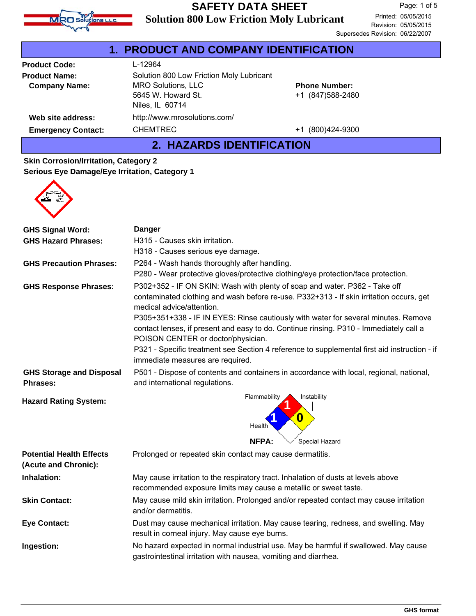

|                           | 1. PRODUCT AND COMPANY IDENTIFICATION    |                      |
|---------------------------|------------------------------------------|----------------------|
| <b>Product Code:</b>      | L-12964                                  |                      |
| <b>Product Name:</b>      | Solution 800 Low Friction Moly Lubricant |                      |
| <b>Company Name:</b>      | <b>MRO Solutions, LLC</b>                | <b>Phone Number:</b> |
|                           | 5645 W. Howard St.                       | +1 (847) 588-2480    |
|                           | Niles, IL 60714                          |                      |
| Web site address:         | http://www.mrosolutions.com/             |                      |
| <b>Emergency Contact:</b> | <b>CHEMTREC</b>                          | +1 (800)424-9300     |
|                           |                                          |                      |

#### **2. HAZARDS IDENTIFICATION**

#### **Skin Corrosion/Irritation, Category 2 Serious Eye Damage/Eye Irritation, Category 1**



| <b>GHS Signal Word:</b>                                 | <b>Danger</b>                                                                                                                                                                                                      |  |  |
|---------------------------------------------------------|--------------------------------------------------------------------------------------------------------------------------------------------------------------------------------------------------------------------|--|--|
| <b>GHS Hazard Phrases:</b>                              | H315 - Causes skin irritation.                                                                                                                                                                                     |  |  |
|                                                         | H318 - Causes serious eye damage.                                                                                                                                                                                  |  |  |
| <b>GHS Precaution Phrases:</b>                          | P264 - Wash hands thoroughly after handling.                                                                                                                                                                       |  |  |
|                                                         | P280 - Wear protective gloves/protective clothing/eye protection/face protection.                                                                                                                                  |  |  |
| <b>GHS Response Phrases:</b>                            | P302+352 - IF ON SKIN: Wash with plenty of soap and water. P362 - Take off<br>contaminated clothing and wash before re-use. P332+313 - If skin irritation occurs, get<br>medical advice/attention.                 |  |  |
|                                                         | P305+351+338 - IF IN EYES: Rinse cautiously with water for several minutes. Remove<br>contact lenses, if present and easy to do. Continue rinsing. P310 - Immediately call a<br>POISON CENTER or doctor/physician. |  |  |
|                                                         | P321 - Specific treatment see Section 4 reference to supplemental first aid instruction - if<br>immediate measures are required.                                                                                   |  |  |
| <b>GHS Storage and Disposal</b><br>Phrases:             | P501 - Dispose of contents and containers in accordance with local, regional, national,<br>and international regulations.                                                                                          |  |  |
| <b>Hazard Rating System:</b>                            | Flammability<br>Instability<br>$\boldsymbol{0}$<br>Health                                                                                                                                                          |  |  |
|                                                         | NFPA:<br>Special Hazard                                                                                                                                                                                            |  |  |
| <b>Potential Health Effects</b><br>(Acute and Chronic): | Prolonged or repeated skin contact may cause dermatitis.                                                                                                                                                           |  |  |
| Inhalation:                                             | May cause irritation to the respiratory tract. Inhalation of dusts at levels above<br>recommended exposure limits may cause a metallic or sweet taste.                                                             |  |  |
| <b>Skin Contact:</b>                                    | May cause mild skin irritation. Prolonged and/or repeated contact may cause irritation<br>and/or dermatitis.                                                                                                       |  |  |
| <b>Eye Contact:</b>                                     | Dust may cause mechanical irritation. May cause tearing, redness, and swelling. May<br>result in corneal injury. May cause eye burns.                                                                              |  |  |
| Ingestion:                                              | No hazard expected in normal industrial use. May be harmful if swallowed. May cause<br>gastrointestinal irritation with nausea, vomiting and diarrhea.                                                             |  |  |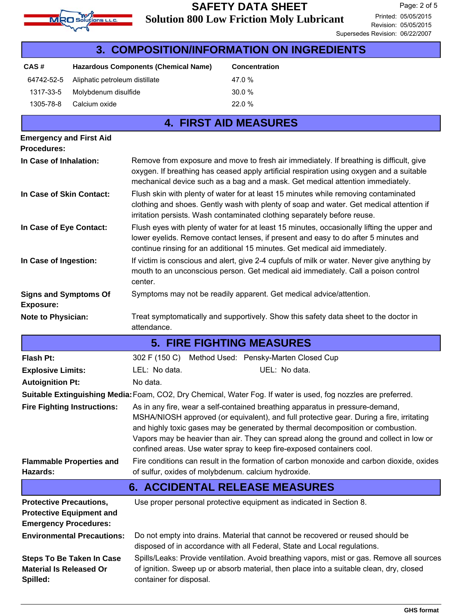

| 3. COMPOSITION/INFORMATION ON INGREDIENTS                      |                                    |                                                     |                                                                                                                                                                                                                                                                                                                                                                                                                                 |
|----------------------------------------------------------------|------------------------------------|-----------------------------------------------------|---------------------------------------------------------------------------------------------------------------------------------------------------------------------------------------------------------------------------------------------------------------------------------------------------------------------------------------------------------------------------------------------------------------------------------|
| CAS#                                                           |                                    | <b>Hazardous Components (Chemical Name)</b>         | Concentration                                                                                                                                                                                                                                                                                                                                                                                                                   |
| 64742-52-5                                                     | Aliphatic petroleum distillate     |                                                     | 47.0 %                                                                                                                                                                                                                                                                                                                                                                                                                          |
| 1317-33-5                                                      | Molybdenum disulfide               |                                                     | 30.0 %                                                                                                                                                                                                                                                                                                                                                                                                                          |
| 1305-78-8                                                      | Calcium oxide                      |                                                     | 22.0 %                                                                                                                                                                                                                                                                                                                                                                                                                          |
|                                                                |                                    |                                                     | <b>4. FIRST AID MEASURES</b>                                                                                                                                                                                                                                                                                                                                                                                                    |
| <b>Emergency and First Aid</b><br><b>Procedures:</b>           |                                    |                                                     |                                                                                                                                                                                                                                                                                                                                                                                                                                 |
| In Case of Inhalation:                                         |                                    |                                                     | Remove from exposure and move to fresh air immediately. If breathing is difficult, give<br>oxygen. If breathing has ceased apply artificial respiration using oxygen and a suitable<br>mechanical device such as a bag and a mask. Get medical attention immediately.                                                                                                                                                           |
| In Case of Skin Contact:                                       |                                    |                                                     | Flush skin with plenty of water for at least 15 minutes while removing contaminated<br>clothing and shoes. Gently wash with plenty of soap and water. Get medical attention if<br>irritation persists. Wash contaminated clothing separately before reuse.                                                                                                                                                                      |
| In Case of Eye Contact:                                        |                                    |                                                     | Flush eyes with plenty of water for at least 15 minutes, occasionally lifting the upper and<br>lower eyelids. Remove contact lenses, if present and easy to do after 5 minutes and<br>continue rinsing for an additional 15 minutes. Get medical aid immediately.                                                                                                                                                               |
| In Case of Ingestion:                                          |                                    | center.                                             | If victim is conscious and alert, give 2-4 cupfuls of milk or water. Never give anything by<br>mouth to an unconscious person. Get medical aid immediately. Call a poison control                                                                                                                                                                                                                                               |
| <b>Signs and Symptoms Of</b><br><b>Exposure:</b>               |                                    |                                                     | Symptoms may not be readily apparent. Get medical advice/attention.                                                                                                                                                                                                                                                                                                                                                             |
| <b>Note to Physician:</b>                                      |                                    | attendance.                                         | Treat symptomatically and supportively. Show this safety data sheet to the doctor in                                                                                                                                                                                                                                                                                                                                            |
|                                                                |                                    |                                                     | <b>5. FIRE FIGHTING MEASURES</b>                                                                                                                                                                                                                                                                                                                                                                                                |
| <b>Flash Pt:</b>                                               |                                    | 302 F (150 C)                                       | Method Used: Pensky-Marten Closed Cup                                                                                                                                                                                                                                                                                                                                                                                           |
| <b>Explosive Limits:</b>                                       |                                    | LEL: No data.                                       | UEL: No data.                                                                                                                                                                                                                                                                                                                                                                                                                   |
| <b>Autoignition Pt:</b>                                        |                                    | No data.                                            |                                                                                                                                                                                                                                                                                                                                                                                                                                 |
|                                                                |                                    |                                                     | Suitable Extinguishing Media: Foam, CO2, Dry Chemical, Water Fog. If water is used, fog nozzles are preferred.                                                                                                                                                                                                                                                                                                                  |
|                                                                | <b>Fire Fighting Instructions:</b> |                                                     | As in any fire, wear a self-contained breathing apparatus in pressure-demand,<br>MSHA/NIOSH approved (or equivalent), and full protective gear. During a fire, irritating<br>and highly toxic gases may be generated by thermal decomposition or combustion.<br>Vapors may be heavier than air. They can spread along the ground and collect in low or<br>confined areas. Use water spray to keep fire-exposed containers cool. |
| Hazards:                                                       | <b>Flammable Properties and</b>    | of sulfur, oxides of molybdenum. calcium hydroxide. | Fire conditions can result in the formation of carbon monoxide and carbon dioxide, oxides                                                                                                                                                                                                                                                                                                                                       |
| <b>6. ACCIDENTAL RELEASE MEASURES</b>                          |                                    |                                                     |                                                                                                                                                                                                                                                                                                                                                                                                                                 |
| <b>Protective Precautions,</b><br><b>Emergency Procedures:</b> | <b>Protective Equipment and</b>    |                                                     | Use proper personal protective equipment as indicated in Section 8.                                                                                                                                                                                                                                                                                                                                                             |
|                                                                | <b>Environmental Precautions:</b>  |                                                     | Do not empty into drains. Material that cannot be recovered or reused should be<br>disposed of in accordance with all Federal, State and Local regulations.                                                                                                                                                                                                                                                                     |
| <b>Material Is Released Or</b><br>Spilled:                     | <b>Steps To Be Taken In Case</b>   | container for disposal.                             | Spills/Leaks: Provide ventilation. Avoid breathing vapors, mist or gas. Remove all sources<br>of ignition. Sweep up or absorb material, then place into a suitable clean, dry, closed                                                                                                                                                                                                                                           |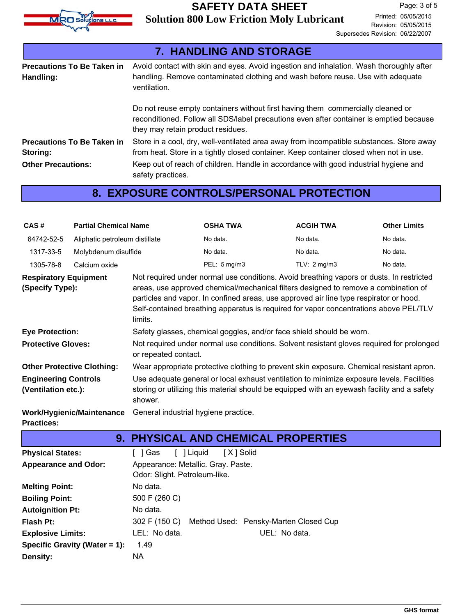

|                                                | 7. HANDLING AND STORAGE                                                                                                                                                                                         |  |
|------------------------------------------------|-----------------------------------------------------------------------------------------------------------------------------------------------------------------------------------------------------------------|--|
| <b>Precautions To Be Taken in</b><br>Handling: | Avoid contact with skin and eyes. Avoid ingestion and inhalation. Wash thoroughly after<br>handling. Remove contaminated clothing and wash before reuse. Use with adequate<br>ventilation.                      |  |
|                                                | Do not reuse empty containers without first having them commercially cleaned or<br>reconditioned. Follow all SDS/label precautions even after container is emptied because<br>they may retain product residues. |  |
| <b>Precautions To Be Taken in</b><br>Storing:  | Store in a cool, dry, well-ventilated area away from incompatible substances. Store away<br>from heat. Store in a tightly closed container. Keep container closed when not in use.                              |  |
| <b>Other Precautions:</b>                      | Keep out of reach of children. Handle in accordance with good industrial hygiene and<br>safety practices.                                                                                                       |  |

## **8. EXPOSURE CONTROLS/PERSONAL PROTECTION**

| CAS#                                               | <b>Partial Chemical Name</b>      |                                                                                                                                                                                                     | <b>OSHA TWA</b>                                                                          | <b>ACGIH TWA</b>                                                                                                                                                                                                                                                                                                                                                   | <b>Other Limits</b> |  |
|----------------------------------------------------|-----------------------------------|-----------------------------------------------------------------------------------------------------------------------------------------------------------------------------------------------------|------------------------------------------------------------------------------------------|--------------------------------------------------------------------------------------------------------------------------------------------------------------------------------------------------------------------------------------------------------------------------------------------------------------------------------------------------------------------|---------------------|--|
| 64742-52-5                                         | Aliphatic petroleum distillate    |                                                                                                                                                                                                     | No data.                                                                                 | No data.                                                                                                                                                                                                                                                                                                                                                           | No data.            |  |
| 1317-33-5                                          | Molybdenum disulfide              |                                                                                                                                                                                                     | No data.                                                                                 | No data.                                                                                                                                                                                                                                                                                                                                                           | No data.            |  |
| 1305-78-8                                          | Calcium oxide                     |                                                                                                                                                                                                     | PEL: 5 mg/m3                                                                             | TLV: $2 \text{ mg/m}$ 3                                                                                                                                                                                                                                                                                                                                            | No data.            |  |
| <b>Respiratory Equipment</b><br>(Specify Type):    |                                   | limits.                                                                                                                                                                                             |                                                                                          | Not required under normal use conditions. Avoid breathing vapors or dusts. In restricted<br>areas, use approved chemical/mechanical filters designed to remove a combination of<br>particles and vapor. In confined areas, use approved air line type respirator or hood.<br>Self-contained breathing apparatus is required for vapor concentrations above PEL/TLV |                     |  |
| <b>Eye Protection:</b>                             |                                   |                                                                                                                                                                                                     |                                                                                          | Safety glasses, chemical goggles, and/or face shield should be worn.                                                                                                                                                                                                                                                                                               |                     |  |
| <b>Protective Gloves:</b>                          |                                   | or repeated contact.                                                                                                                                                                                |                                                                                          | Not required under normal use conditions. Solvent resistant gloves required for prolonged                                                                                                                                                                                                                                                                          |                     |  |
|                                                    | <b>Other Protective Clothing:</b> |                                                                                                                                                                                                     | Wear appropriate protective clothing to prevent skin exposure. Chemical resistant apron. |                                                                                                                                                                                                                                                                                                                                                                    |                     |  |
| <b>Engineering Controls</b><br>(Ventilation etc.): |                                   | Use adequate general or local exhaust ventilation to minimize exposure levels. Facilities<br>storing or utilizing this material should be equipped with an eyewash facility and a safety<br>shower. |                                                                                          |                                                                                                                                                                                                                                                                                                                                                                    |                     |  |
| <b>Practices:</b>                                  | Work/Hygienic/Maintenance         | General industrial hygiene practice.                                                                                                                                                                |                                                                                          |                                                                                                                                                                                                                                                                                                                                                                    |                     |  |
|                                                    |                                   |                                                                                                                                                                                                     |                                                                                          | 9. PHYSICAL AND CHEMICAL PROPERTIES                                                                                                                                                                                                                                                                                                                                |                     |  |
| <b>Physical States:</b>                            |                                   | [ ] Liquid<br>[ ] Gas                                                                                                                                                                               | [X] Solid                                                                                |                                                                                                                                                                                                                                                                                                                                                                    |                     |  |
| <b>Appearance and Odor:</b>                        |                                   | Appearance: Metallic. Gray. Paste.<br>Odor: Slight. Petroleum-like.                                                                                                                                 |                                                                                          |                                                                                                                                                                                                                                                                                                                                                                    |                     |  |
| <b>Melting Point:</b>                              |                                   | No data.                                                                                                                                                                                            |                                                                                          |                                                                                                                                                                                                                                                                                                                                                                    |                     |  |
| <b>Boiling Point:</b>                              |                                   | 500 F (260 C)                                                                                                                                                                                       |                                                                                          |                                                                                                                                                                                                                                                                                                                                                                    |                     |  |
| <b>Autoignition Pt:</b>                            |                                   | No data.                                                                                                                                                                                            |                                                                                          |                                                                                                                                                                                                                                                                                                                                                                    |                     |  |
| <b>Flash Pt:</b>                                   |                                   | 302 F (150 C)                                                                                                                                                                                       |                                                                                          | Method Used: Pensky-Marten Closed Cup                                                                                                                                                                                                                                                                                                                              |                     |  |
| <b>Explosive Limits:</b>                           |                                   | LEL: No data.                                                                                                                                                                                       |                                                                                          | UEL: No data.                                                                                                                                                                                                                                                                                                                                                      |                     |  |
|                                                    | Specific Gravity (Water = 1):     | 1.49                                                                                                                                                                                                |                                                                                          |                                                                                                                                                                                                                                                                                                                                                                    |                     |  |
| Density:                                           |                                   | <b>NA</b>                                                                                                                                                                                           |                                                                                          |                                                                                                                                                                                                                                                                                                                                                                    |                     |  |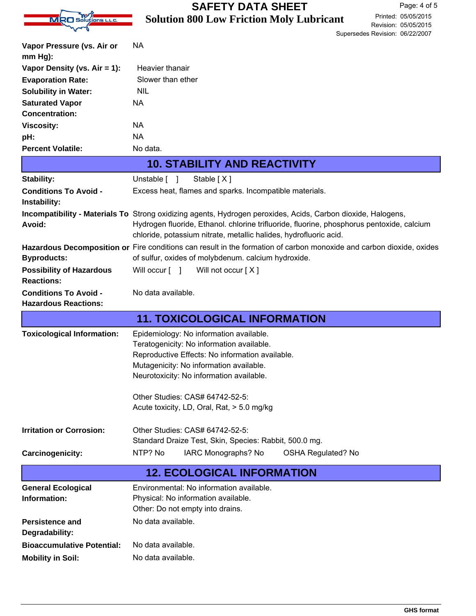|                                              | <b>SAFETY DATA SHEET</b><br>Page: 4 of 5                                                                                                                                                                                                                                       |  |  |  |
|----------------------------------------------|--------------------------------------------------------------------------------------------------------------------------------------------------------------------------------------------------------------------------------------------------------------------------------|--|--|--|
| MRO Solutions L.L.C.                         | Printed: 05/05/2015<br><b>Solution 800 Low Friction Moly Lubricant</b>                                                                                                                                                                                                         |  |  |  |
|                                              | Revision: 05/05/2015<br>Supersedes Revision: 06/22/2007                                                                                                                                                                                                                        |  |  |  |
| Vapor Pressure (vs. Air or                   | <b>NA</b>                                                                                                                                                                                                                                                                      |  |  |  |
| $mm Hg$ ):                                   |                                                                                                                                                                                                                                                                                |  |  |  |
| Vapor Density (vs. Air = 1):                 | Heavier thanair                                                                                                                                                                                                                                                                |  |  |  |
| <b>Evaporation Rate:</b>                     | Slower than ether                                                                                                                                                                                                                                                              |  |  |  |
| <b>Solubility in Water:</b>                  | <b>NIL</b>                                                                                                                                                                                                                                                                     |  |  |  |
| <b>Saturated Vapor</b>                       | <b>NA</b>                                                                                                                                                                                                                                                                      |  |  |  |
| <b>Concentration:</b>                        |                                                                                                                                                                                                                                                                                |  |  |  |
| <b>Viscosity:</b>                            | <b>NA</b>                                                                                                                                                                                                                                                                      |  |  |  |
| pH:                                          | <b>NA</b>                                                                                                                                                                                                                                                                      |  |  |  |
| <b>Percent Volatile:</b>                     | No data.                                                                                                                                                                                                                                                                       |  |  |  |
|                                              | <b>10. STABILITY AND REACTIVITY</b>                                                                                                                                                                                                                                            |  |  |  |
| Stability:                                   | Unstable [ ]<br>Stable [X]                                                                                                                                                                                                                                                     |  |  |  |
| <b>Conditions To Avoid -</b><br>Instability: | Excess heat, flames and sparks. Incompatible materials.                                                                                                                                                                                                                        |  |  |  |
| Avoid:                                       | Incompatibility - Materials To Strong oxidizing agents, Hydrogen peroxides, Acids, Carbon dioxide, Halogens,<br>Hydrogen fluoride, Ethanol. chlorine trifluoride, fluorine, phosphorus pentoxide, calcium<br>chloride, potassium nitrate, metallic halides, hydrofluoric acid. |  |  |  |
|                                              | Hazardous Decomposition or Fire conditions can result in the formation of carbon monoxide and carbon dioxide, oxides                                                                                                                                                           |  |  |  |
| <b>Byproducts:</b>                           | of sulfur, oxides of molybdenum. calcium hydroxide.                                                                                                                                                                                                                            |  |  |  |
| <b>Possibility of Hazardous</b>              | Will occur [ ]<br>Will not occur [X]                                                                                                                                                                                                                                           |  |  |  |
| <b>Reactions:</b>                            |                                                                                                                                                                                                                                                                                |  |  |  |
| <b>Conditions To Avoid -</b>                 | No data available.                                                                                                                                                                                                                                                             |  |  |  |
| <b>Hazardous Reactions:</b>                  |                                                                                                                                                                                                                                                                                |  |  |  |
|                                              | <b>11. TOXICOLOGICAL INFORMATION</b>                                                                                                                                                                                                                                           |  |  |  |
| <b>Toxicological Information:</b>            | Epidemiology: No information available.                                                                                                                                                                                                                                        |  |  |  |
|                                              | Teratogenicity: No information available.                                                                                                                                                                                                                                      |  |  |  |
|                                              | Reproductive Effects: No information available.<br>Mutagenicity: No information available.                                                                                                                                                                                     |  |  |  |
|                                              | Neurotoxicity: No information available.                                                                                                                                                                                                                                       |  |  |  |
|                                              |                                                                                                                                                                                                                                                                                |  |  |  |
|                                              | Other Studies: CAS# 64742-52-5:                                                                                                                                                                                                                                                |  |  |  |
|                                              | Acute toxicity, LD, Oral, Rat, > 5.0 mg/kg                                                                                                                                                                                                                                     |  |  |  |
| <b>Irritation or Corrosion:</b>              | Other Studies: CAS# 64742-52-5:                                                                                                                                                                                                                                                |  |  |  |
|                                              | Standard Draize Test, Skin, Species: Rabbit, 500.0 mg.                                                                                                                                                                                                                         |  |  |  |
| Carcinogenicity:                             | NTP? No<br>IARC Monographs? No<br><b>OSHA Regulated? No</b>                                                                                                                                                                                                                    |  |  |  |
|                                              | <b>12. ECOLOGICAL INFORMATION</b>                                                                                                                                                                                                                                              |  |  |  |
| <b>General Ecological</b>                    |                                                                                                                                                                                                                                                                                |  |  |  |
|                                              | Environmental: No information available.                                                                                                                                                                                                                                       |  |  |  |
| Information:                                 | Physical: No information available.                                                                                                                                                                                                                                            |  |  |  |
|                                              | Other: Do not empty into drains.                                                                                                                                                                                                                                               |  |  |  |
| <b>Persistence and</b>                       | No data available.                                                                                                                                                                                                                                                             |  |  |  |
| Degradability:                               |                                                                                                                                                                                                                                                                                |  |  |  |
| <b>Bioaccumulative Potential:</b>            | No data available.                                                                                                                                                                                                                                                             |  |  |  |